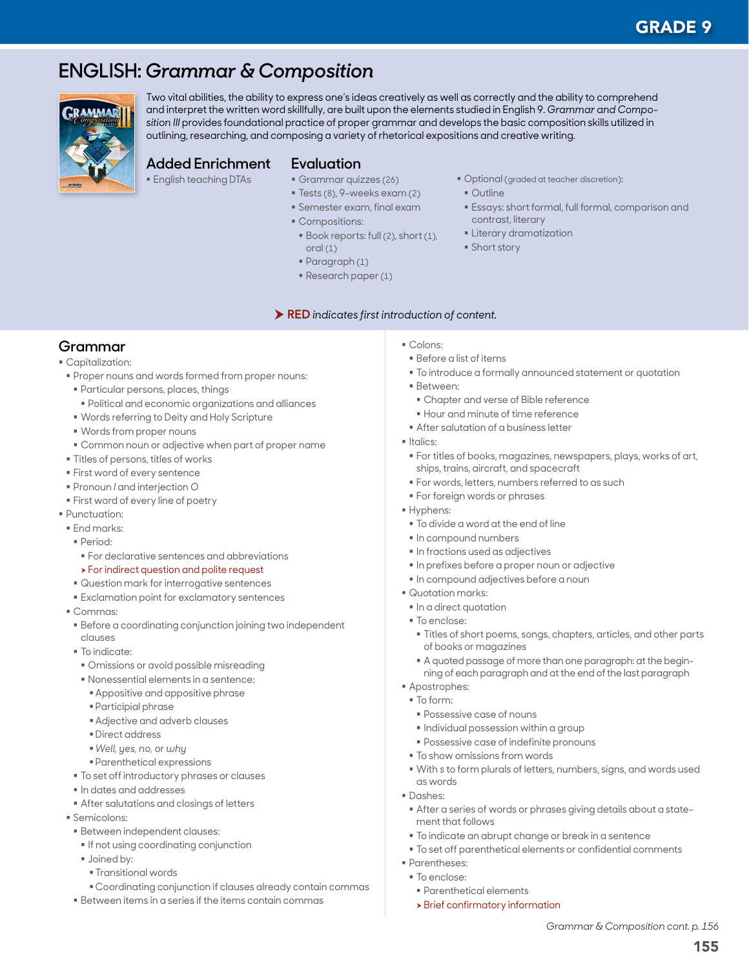# **ENGLISH:** *Grammar & Composition*



Two vital abilities, the ability to express one's ideas creatively as well as correctly and the ability to comprehend and interpret the written word skillfully, are built upon the elements studied in English 9. *Grammar and Composition III* provides foundational practice of proper grammar and develops the basic composition skills utilized in outlining, researching, and composing a variety of rhetorical expositions and creative writing.

## **Added Enrichment**

English teaching DTAs

- **Evaluation**
	- Grammar quizzes (26)
	- Tests (8), 9-weeks exam (2)
	- Semester exam, final exam
	- Compositions:
	- **Book reports: full (2), short (1),** oral (1)

RED *indicates first introduction of content.*

- Paragraph (1)
- Research paper (1)
- Optional (graded at teacher discretion):
- $\bigcap$ utline
- Essays: short formal, full formal, comparison and contrast, literary
- **Eliterary dramatization**
- **Short story**

**Grammar**

Capitalization:

- Proper nouns and words formed from proper nouns:
- Particular persons, places, things
- Political and economic organizations and alliances
- Words referring to Deity and Holy Scripture
- Words from proper nouns
- Common noun or adjective when part of proper name
- **Titles of persons, titles of works**
- First word of every sentence
- Pronoun *I* and interjection *O*
- **First word of every line of poetry**
- Punctuation:
- **End marks:**
- Period:
	- For declarative sentences and abbreviations
- **>** For indirect question and polite request
- Question mark for interrogative sentences
- Exclamation point for exclamatory sentences
- Commas:
- Before a coordinating conjunction joining two independent clauses
- $\blacksquare$  To indicate:
- Omissions or avoid possible misreading
- Nonessential elements in a sentence:
- Appositive and appositive phrase
- Participial phrase
- Adjective and adverb clauses
- Direct address
- *Well, yes, no,* or *why*
- Parenthetical expressions
- $\blacksquare$  To set off introductory phrases or clauses
- In dates and addresses
- After salutations and closings of letters
- Semicolons:
- Between independent clauses:
- **If not using coordinating conjunction**
- **Joined by:** 
	- Transitional words
- Coordinating conjunction if clauses already contain commas
- Between items in a series if the items contain commas
- Colons:
- Before a list of items
- To introduce a formally announced statement or quotation
- Between:
	- Chapter and verse of Bible reference
- Hour and minute of time reference
- After salutation of a business letter
- Italics:
- For titles of books, magazines, newspapers, plays, works of art, ships, trains, aircraft, and spacecraft
- **For words, letters, numbers referred to as such**
- **For foreign words or phrases**
- Hyphens:
- To divide a word at the end of line
- $\blacksquare$  In compound numbers
- $\blacksquare$  In fractions used as adjectives
- In prefixes before a proper noun or adjective
- $\blacksquare$  In compound adjectives before a noun
- Quotation marks:
- $\blacksquare$  In a direct quotation
- To enclose:
- Titles of short poems, songs, chapters, articles, and other parts of books or magazines
- A quoted passage of more than one paragraph: at the beginning of each paragraph and at the end of the last paragraph
- Apostrophes:
- To form:
	- Possessive case of nouns
	- $\blacksquare$  Individual possession within a group
	- Possessive case of indefinite pronouns
- $\blacksquare$  To show omissions from words
- With *s* to form plurals of letters, numbers, signs, and words used as words
- Dashes:
- After a series of words or phrases giving details about a statement that follows
- To indicate an abrupt change or break in a sentence
- $\blacksquare$  To set off parenthetical elements or confidential comments
- Parentheses:
- To enclose:
- Parenthetical elements
- $\rightarrow$  Brief confirmatory information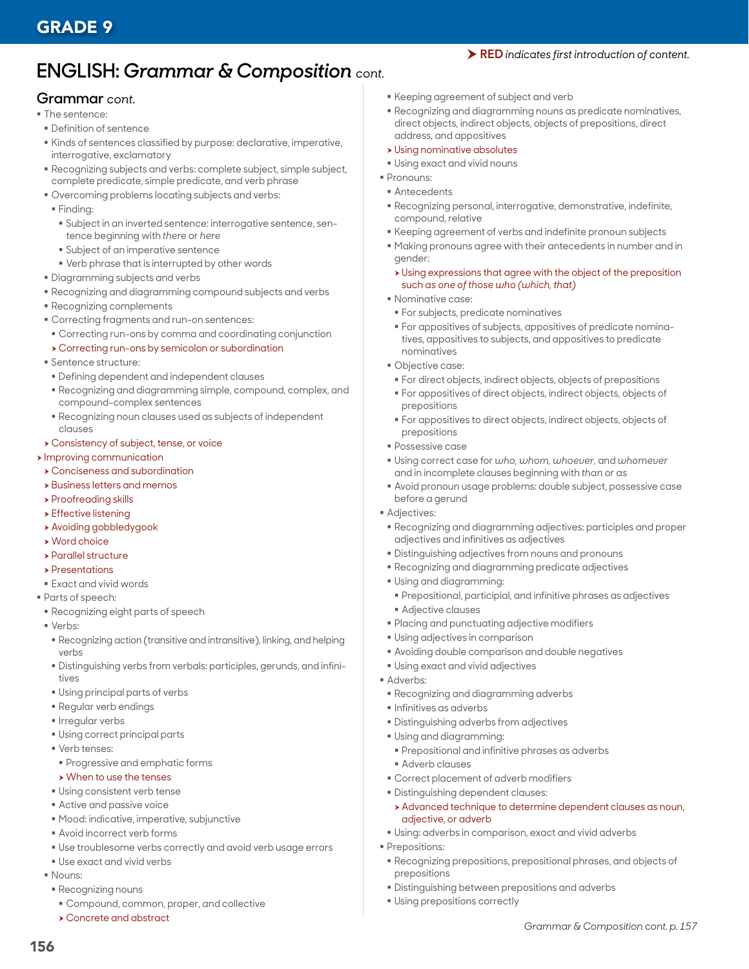# **ENGLISH:** *Grammar & Composition cont.*

### **Grammar** *cont.*

- The sentence:
- Definition of sentence
- Kinds of sentences classified by purpose: declarative, imperative, interrogative, exclamatory
- Recognizing subjects and verbs: complete subject, simple subject, complete predicate, simple predicate, and verb phrase
- Overcoming problems locating subjects and verbs:
- Finding:
	- Subject in an inverted sentence: interrogative sentence, sentence beginning with *there* or *here*
	- Subject of an imperative sentence
- Verb phrase that is interrupted by other words
- Diagramming subjects and verbs
- Recognizing and diagramming compound subjects and verbs
- Recognizing complements
- Correcting fragments and run-on sentences:
- Correcting run-ons by comma and coordinating conjunction
- h Correcting run-ons by semicolon or subordination
- **Sentence structure:**
- Defining dependent and independent clauses
- Recognizing and diagramming simple, compound, complex, and compound-complex sentences
- Recognizing noun clauses used as subjects of independent clauses

### **> Consistency of subject, tense, or voice**

- **h** Improving communication
- **> Conciseness and subordination**
- **>** Business letters and memos
- $\blacktriangleright$  Proofreading skills
- $\rightarrow$  Effective listening
- h Avoiding gobbledygook
- $\rightarrow$  Word choice
- $\blacktriangleright$  Parallel structure
- $\triangleright$  Presentations
- Exact and vivid words
- Parts of speech:
- Recognizing eight parts of speech
- Verbs:
- Recognizing action (transitive and intransitive), linking, and helping verbs
- Distinguishing verbs from verbals: participles, gerunds, and infinitives
- Using principal parts of verbs
- Regular verb endings
- **Irregular verbs**
- Using correct principal parts
- Verb tenses:
- **Progressive and emphatic forms**

### $\triangleright$  When to use the tenses

- Using consistent verb tense
- Active and passive voice
- Mood: indicative, imperative, subjunctive
- Avoid incorrect verb forms
- Use troublesome verbs correctly and avoid verb usage errors
- Use exact and vivid verbs
- Nouns:

156

- Recognizing nouns
- Compound, common, proper, and collective
- h Concrete and abstract
- Keeping agreement of subject and verb
- Recognizing and diagramming nouns as predicate nominatives, direct objects, indirect objects, objects of prepositions, direct address, and appositives

RED *indicates first introduction of content.*

- **> Using nominative absolutes**
- Using exact and vivid nouns
- **Pronouns:**
- **Antecedents**
- Recognizing personal, interrogative, demonstrative, indefinite, compound, relative
- Keeping agreement of verbs and indefinite pronoun subjects
- Making pronouns agree with their antecedents in number and in gender:
- $\rightarrow$  Using expressions that agree with the object of the preposition such *as one of those who (which, that)*
- Nominative case:
- For subjects, predicate nominatives
- For appositives of subjects, appositives of predicate nominatives, appositives to subjects, and appositives to predicate nominatives
- Objective case:
- For direct objects, indirect objects, objects of prepositions
- For appositives of direct objects, indirect objects, objects of prepositions
- For appositives to direct objects, indirect objects, objects of prepositions
- Possessive case
- Using correct case for *who, whom, whoever,* and *whomever* and in incomplete clauses beginning with *than* or *as*
- Avoid pronoun usage problems: double subject, possessive case before a gerund
- **Adjectives:**
- Recognizing and diagramming adjectives: participles and proper adjectives and infinitives as adjectives
- Distinguishing adjectives from nouns and pronouns
- Recognizing and diagramming predicate adjectives
- Using and diagramming:
- Prepositional, participial, and infinitive phrases as adjectives
- Adjective clauses
- Placing and punctuating adjective modifiers
- Using adjectives in comparison
- Avoiding double comparison and double negatives
- Using exact and vivid adjectives
- Adverbs:
	- Recognizing and diagramming adverbs
	- **Infinitives as adverbs**
	- Distinguishing adverbs from adjectives
	- Using and diagramming:
	- Prepositional and infinitive phrases as adverbs
	- Adverb clauses
	- Correct placement of adverb modifiers
- Distinguishing dependent clauses:

Using prepositions correctly

- h Advanced technique to determine dependent clauses as noun, adjective, or adverb
- Using: adverbs in comparison, exact and vivid adverbs
- **Prepositions:**
- Recognizing prepositions, prepositional phrases, and objects of prepositions

*Grammar & Composition cont. p. 157*

Distinguishing between prepositions and adverbs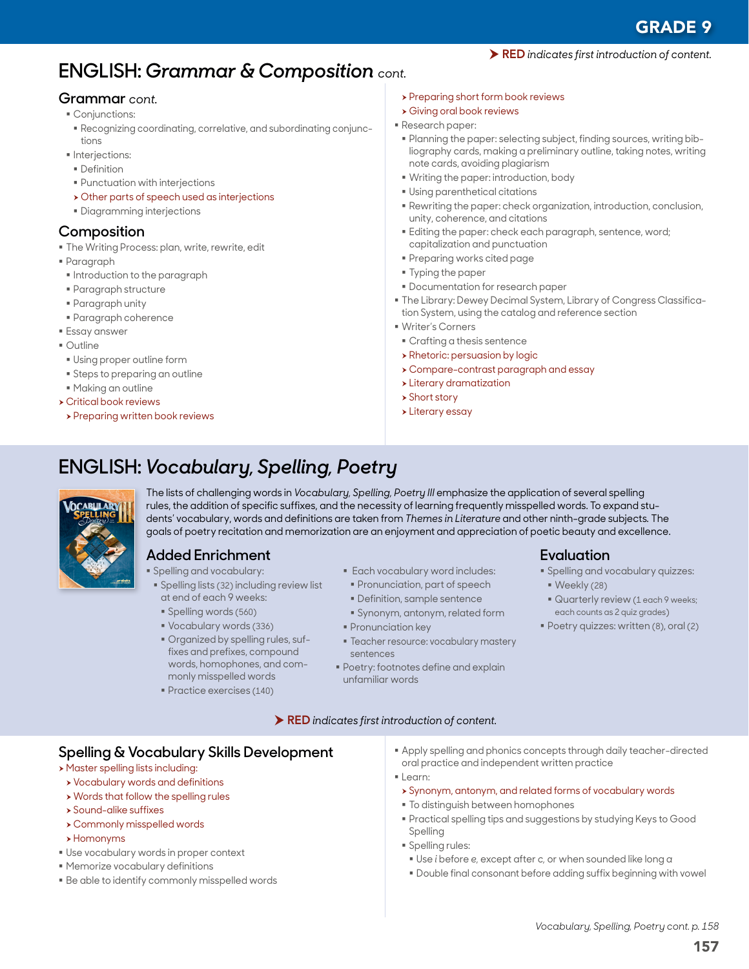# **ENGLISH:** *Grammar & Composition cont.*

### **Grammar** *cont.*

- Conjunctions:
- Recognizing coordinating, correlative, and subordinating conjunctions
- **Interjections:**
- **Definition**
- Punctuation with interjections
- **>** Other parts of speech used as interjections
- Diagramming interjections

# **Composition**

- **The Writing Process: plan, write, rewrite, edit**
- Paragraph
- **Introduction to the paragraph**
- Paragraph structure
- Paragraph unity
- Paragraph coherence
- Essay answer
- Outline
- Using proper outline form
- Steps to preparing an outline
- Making an outline
- $\triangleright$  Critical book reviews
- **> Preparing written book reviews**
- > Preparing short form book reviews
- **>** Giving oral book reviews
- Research paper:
- Planning the paper: selecting subject, finding sources, writing bibliography cards, making a preliminary outline, taking notes, writing note cards, avoiding plagiarism
- Writing the paper: introduction, body
- Using parenthetical citations
- Rewriting the paper: check organization, introduction, conclusion, unity, coherence, and citations
- **Editing the paper: check each paragraph, sentence, word;** capitalization and punctuation
- Preparing works cited page
- Typing the paper
- Documentation for research paper
- The Library: Dewey Decimal System, Library of Congress Classification System, using the catalog and reference section
- Writer's Corners
- Crafting a thesis sentence
- **> Rhetoric: persuasion by logic**
- h Compare-contrast paragraph and essay
- **>** Literary dramatization
- $\triangleright$  Short story
- **>** Literary essay

# **ENGLISH:** *Vocabulary, Spelling, Poetry*



The lists of challenging words in *Vocabulary, Spelling, Poetry III* emphasize the application of several spelling rules, the addition of specific suffixes, and the necessity of learning frequently misspelled words. To expand students' vocabulary, words and definitions are taken from *Themes in Literature* and other ninth-grade subjects*.* The goals of poetry recitation and memorization are an enjoyment and appreciation of poetic beauty and excellence.

# **Added Enrichment**

- Spelling and vocabulary:
- **Spelling lists (32) including review list** at end of each 9 weeks:
- Spelling words (560)
- Vocabulary words (336)
- Organized by spelling rules, suffixes and prefixes, compound words, homophones, and commonly misspelled words
- Practice exercises (140)
- **Each vocabulary word includes:** 
	- Pronunciation, part of speech
	- Definition, sample sentence
	- Synonym, antonym, related form
- **Pronunciation key**

RED *indicates first introduction of content.*

- **F** Teacher resource: vocabulary mastery sentences
- **Poetry: footnotes define and explain** unfamiliar words

### **Evaluation** Spelling and vocabulary quizzes:

- Weekly (28)
- **Quarterly review (1 each 9 weeks;** each counts as 2 quiz grades)
- Poetry quizzes: written (8), oral (2)

- **Spelling & Vocabulary Skills Development**
- **> Master spelling lists including:**
- **>** Vocabulary words and definitions
- $\rightarrow$  Words that follow the spelling rules
- $\rightarrow$  Sound-alike suffixes
- h Commonly misspelled words
- $\rightarrow$  Homonyms
- Use vocabulary words in proper context
- Memorize vocabulary definitions
- Be able to identify commonly misspelled words
- Apply spelling and phonics concepts through daily teacher-directed oral practice and independent written practice
- Learn:
	- h Synonym, antonym, and related forms of vocabulary words
	- To distinguish between homophones
	- Practical spelling tips and suggestions by studying Keys to Good Spelling
	- **Spelling rules:**
	- Use *i* before *e,* except after *c,* or when sounded like long *a*
	- Double final consonant before adding suffix beginning with vowel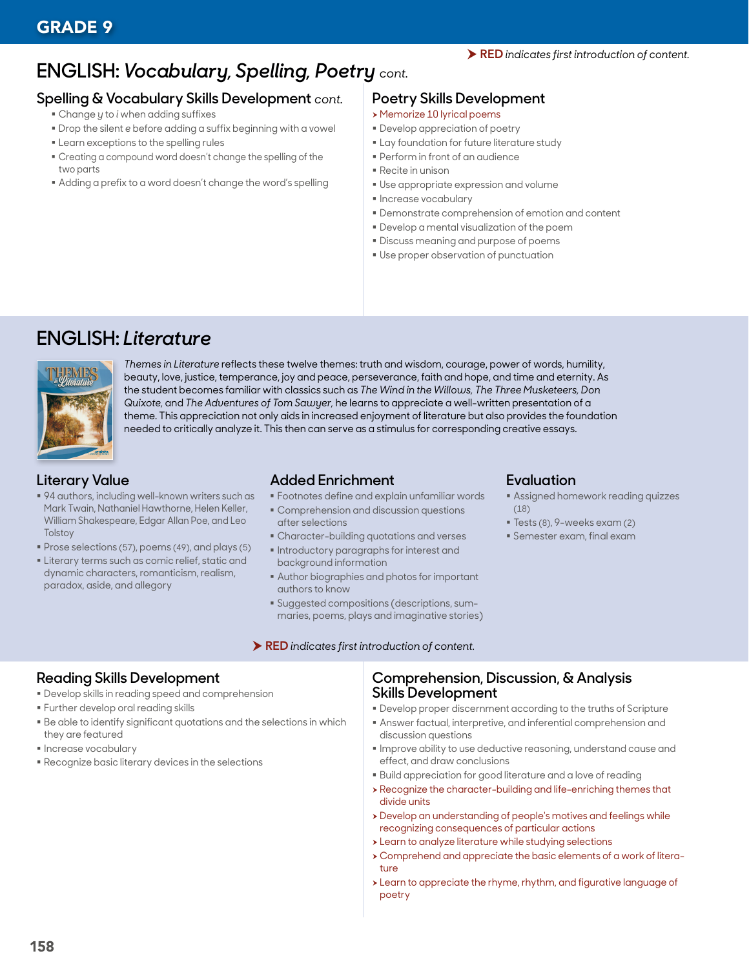# **ENGLISH:** *Vocabulary, Spelling, Poetry cont.*

## **Spelling & Vocabulary Skills Development** *cont.*

- Change *y* to *i* when adding suffixes
- Drop the silent *e* before adding a suffix beginning with a vowel
- **Example 2** Learn exceptions to the spelling rules
- Creating a compound word doesn't change the spelling of the two parts
- Adding a prefix to a word doesn't change the word's spelling

## **Poetry Skills Development**

- h Memorize 10 lyrical poems
- Develop appreciation of poetry
- **Lay foundation for future literature study**
- Perform in front of an audience
- Recite in unison
- Use appropriate expression and volume
- **Increase vocabulary**
- Demonstrate comprehension of emotion and content
- Develop a mental visualization of the poem
- Discuss meaning and purpose of poems
- Use proper observation of punctuation

# **ENGLISH:** *Literature*



*Themes in Literature* reflects these twelve themes: truth and wisdom, courage, power of words, humility, beauty, love, justice, temperance, joy and peace, perseverance, faith and hope, and time and eternity. As the student becomes familiar with classics such as *The Wind in the Willows, The Three Musketeers, Don Quixote,* and *The Adventures of Tom Sawyer,* he learns to appreciate a well-written presentation of a theme. This appreciation not only aids in increased enjoyment of literature but also provides the foundation needed to critically analyze it. This then can serve as a stimulus for corresponding creative essays.

# **Literary Value**

- 94 authors, including well-known writers such as Mark Twain, Nathaniel Hawthorne, Helen Keller, William Shakespeare, Edgar Allan Poe, and Leo **Tolstoy**
- Prose selections (57), poems (49), and plays (5)
- **Literary terms such as comic relief, static and** dynamic characters, romanticism, realism, paradox, aside, and allegory

## **Added Enrichment**

- Footnotes define and explain unfamiliar words
- Comprehension and discussion questions
- after selections Character-building quotations and verses
- **Introductory paragraphs for interest and** background information
- Author biographies and photos for important authors to know
- Suggested compositions (descriptions, summaries, poems, plays and imaginative stories)

### RED *indicates first introduction of content.*

# **Evaluation**

- Assigned homework reading quizzes (18)
- Tests (8), 9-weeks exam (2)
- Semester exam, final exam

# **Reading Skills Development**

- Develop skills in reading speed and comprehension
- **Further develop oral reading skills**
- Be able to identify significant quotations and the selections in which they are featured
- **Increase vocabulary**
- Recognize basic literary devices in the selections

## **Comprehension, Discussion, & Analysis Skills Development**

- Develop proper discernment according to the truths of Scripture
- Answer factual, interpretive, and inferential comprehension and discussion questions
- Improve ability to use deductive reasoning, understand cause and effect, and draw conclusions
- Build appreciation for good literature and a love of reading
- $\rightarrow$  Recognize the character-building and life-enriching themes that divide units
- h Develop an understanding of people's motives and feelings while recognizing consequences of particular actions
- $\rightarrow$  Learn to analyze literature while studying selections
- h Comprehend and appreciate the basic elements of a work of literature
- h Learn to appreciate the rhyme, rhythm, and figurative language of poetry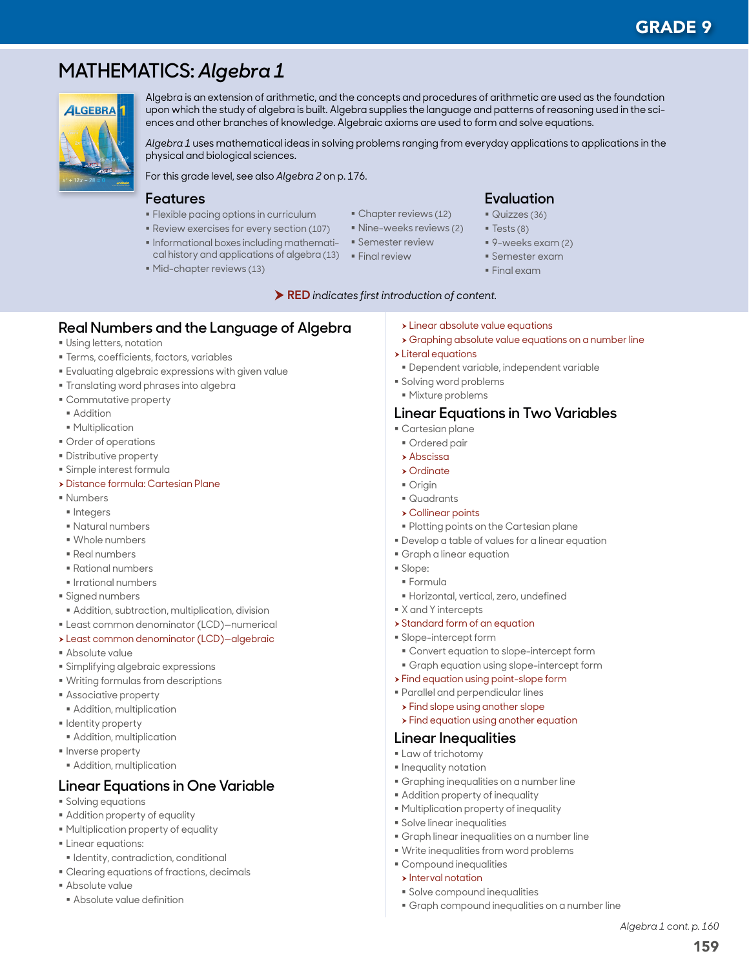# GRADE 9

159

*Algebra 1 cont. p. 160*

# **MATHEMATICS:** *Algebra 1*



Algebra is an extension of arithmetic, and the concepts and procedures of arithmetic are used as the foundation upon which the study of algebra is built. Algebra supplies the language and patterns of reasoning used in the sciences and other branches of knowledge. Algebraic axioms are used to form and solve equations.

*Algebra 1* uses mathematical ideas in solving problems ranging from everyday applications to applications in the physical and biological sciences.

For this grade level, see also *Algebra 2* on p. 176.

### **Features**

- Flexible pacing options in curriculum
- Review exercises for every section (107)
- **Informational boxes including mathemati- Examplement Finding Mate Traview** cal history and applications of algebra (13) Final review
- Mid-chapter reviews (13)
- Chapter reviews (12)
- Nine-weeks reviews (2)
- 
- 

## **Evaluation**

- Quizzes (36)
- $\blacksquare$  Tests (8)
- 9-weeks exam (2)
- Semester exam
- Final exam

### RED *indicates first introduction of content.*

- **Real Numbers and the Language of Algebra**
- Using letters, notation
- Terms, coefficients, factors, variables
- Evaluating algebraic expressions with given value
- **Translating word phrases into algebra**
- Commutative property
- **Addition**
- **Multiplication**
- Order of operations
- **Distributive property**
- Simple interest formula
- **> Distance formula: Cartesian Plane**
- Numbers
- **Integers**
- Natural numbers
- Whole numbers
- Real numbers
- Rational numbers
- **Irrational numbers**
- Signed numbers
- Addition, subtraction, multiplication, division
- Least common denominator (LCD)—numerical
- h Least common denominator (LCD)—algebraic
- Absolute value
- Simplifying algebraic expressions
- Writing formulas from descriptions
- Associative property
- Addition, multiplication
- **I** Identity property
- Addition, multiplication
- **Inverse property**
- Addition, multiplication

## **Linear Equations in One Variable**

- **Solving equations**
- Addition property of equality
- Multiplication property of equality
- **Linear equations:**
- **Indentity, contradiction, conditional**
- Clearing equations of fractions, decimals
- Absolute value
- Absolute value definition
- $\rightarrow$  Linear absolute value equations
- **>** Graphing absolute value equations on a number line
- $\triangleright$  Literal equations
- Dependent variable, independent variable
- Solving word problems
- Mixture problems

## **Linear Equations in Two Variables**

- Cartesian plane
- **Ordered pair**
- $\rightarrow$  Abscissa
- $\rightarrow$  Ordinate
- **Origin**
- Quadrants
- **> Collinear points**
- Plotting points on the Cartesian plane
- Develop a table of values for a linear equation
- Graph a linear equation
- Slope:
- Formula
- Horizontal, vertical, zero, undefined
- **X** and Y intercepts
- **> Standard form of an equation**
- Slope-intercept form
	- Convert equation to slope-intercept form
	- Graph equation using slope-intercept form
- $\triangleright$  Find equation using point-slope form
- Parallel and perpendicular lines
- > Find slope using another slope
- **>** Find equation using another equation

### **Linear Inequalities**

- **Law of trichotomy**
- **Inequality notation**
- Graphing inequalities on a number line
- Addition property of inequality

**Solve compound inequalities** 

- Multiplication property of inequality
- **Solve linear inequalities**

 Compound inequalities  $\triangleright$  Interval notation

 Graph linear inequalities on a number line Write inequalities from word problems

Graph compound inequalities on a number line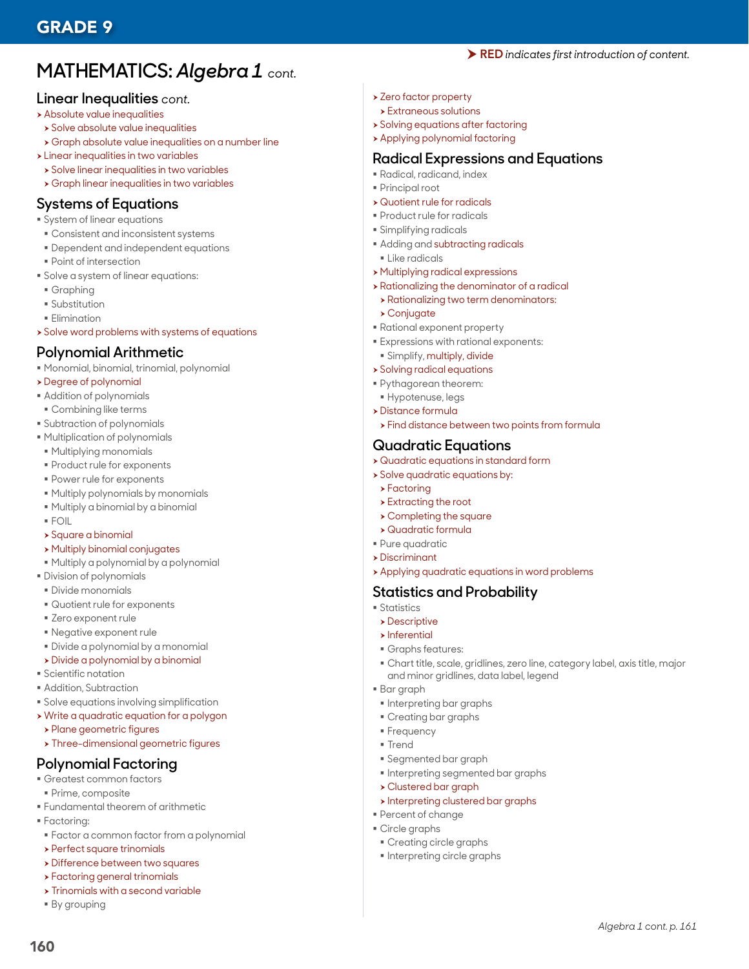# **MATHEMATICS:** *Algebra 1 cont.*

### **Linear Inequalities** *cont.*

- $\rightarrow$  Absolute value inequalities
- $\rightarrow$  Solve absolute value inequalities
- h Graph absolute value inequalities on a number line
- $\blacktriangleright$  Linear inequalities in two variables
- $\rightarrow$  Solve linear inequalities in two variables
- $\rightarrow$  Graph linear inequalities in two variables

## **Systems of Equations**

- System of linear equations
- Consistent and inconsistent systems
- Dependent and independent equations
- Point of intersection
- Solve a system of linear equations:
- Graphing
- **Substitution**
- **Elimination**
- $\triangleright$  Solve word problems with systems of equations

## **Polynomial Arithmetic**

- Monomial, binomial, trinomial, polynomial
- **>** Degree of polynomial
- Addition of polynomials
- Combining like terms
- Subtraction of polynomials
- Multiplication of polynomials
- Multiplying monomials
- Product rule for exponents
- Power rule for exponents
- Multiply polynomials by monomials
- Multiply a binomial by a binomial
- FOIL
- h Square a binomial
- $\rightarrow$  Multiply binomial conjugates
- Multiply a polynomial by a polynomial
- **Division of polynomials**
- Divide monomials
- Quotient rule for exponents
- **Zero exponent rule**
- Negative exponent rule
- Divide a polynomial by a monomial
- $\triangleright$  Divide a polynomial by a binomial
- **Scientific notation**
- Addition, Subtraction
- Solve equations involving simplification
- $\triangleright$  Write a quadratic equation for a polygon
- **> Plane geometric figures**
- > Three-dimensional geometric figures

### **Polynomial Factoring**

- Greatest common factors
- **Prime, composite**
- Fundamental theorem of arithmetic
- Factoring:
- Factor a common factor from a polynomial
- $\rightarrow$  Perfect square trinomials
- **> Difference between two squares**
- $\rightarrow$  Factoring general trinomials
- $\rightarrow$  Trinomials with a second variable
- By grouping

160

- > Zero factor property
- $\rightarrow$  Extraneous solutions
- $\rightarrow$  Solving equations after factoring
- $\rightarrow$  Applying polynomial factoring

### **Radical Expressions and Equations**

RED *indicates first introduction of content.*

- Radical, radicand, index
- Principal root
- $\rightarrow$  Quotient rule for radicals
- Product rule for radicals
- Simplifying radicals
- Adding and subtracting radicals
- **Like radicals**
- **> Multiplying radical expressions**
- $\rightarrow$  Rationalizing the denominator of a radical
- $\rightarrow$  Rationalizing two term denominators:
- $\rightarrow$  Conjugate
- Rational exponent property
- Expressions with rational exponents:
- Simplify, multiply, divide
- **> Solving radical equations**
- Pythagorean theorem:
- Hypotenuse, legs
- $\rightarrow$  Distance formula
- $\rightarrow$  Find distance between two points from formula

### **Quadratic Equations**

- $\rightarrow$  Quadratic equations in standard form
- $\triangleright$  Solve quadratic equations by:
- $\rightarrow$  Factoring
- $\rightarrow$  Extracting the root
- $\rightarrow$  Completing the square
- $\rightarrow$  Quadratic formula
- Pure quadratic
- $\triangleright$  Discriminant
- **> Applying quadratic equations in word problems**

# **Statistics and Probability**

- **Statistics**
- $\rightarrow$  Descriptive
- $\blacktriangleright$  Inferential
- Graphs features:

**Interpreting bar graphs** Creating bar graphs

Segmented bar graph

h Clustered bar graph

 Creating circle graphs **Interpreting circle graphs** 

 Percent of change Circle graphs

Interpreting segmented bar graphs

**>** Interpreting clustered bar graphs

 Chart title, scale, gridlines, zero line, category label, axis title, major and minor gridlines, data label, legend

*Algebra 1 cont. p. 161*

Bar graph

**Frequency Trend**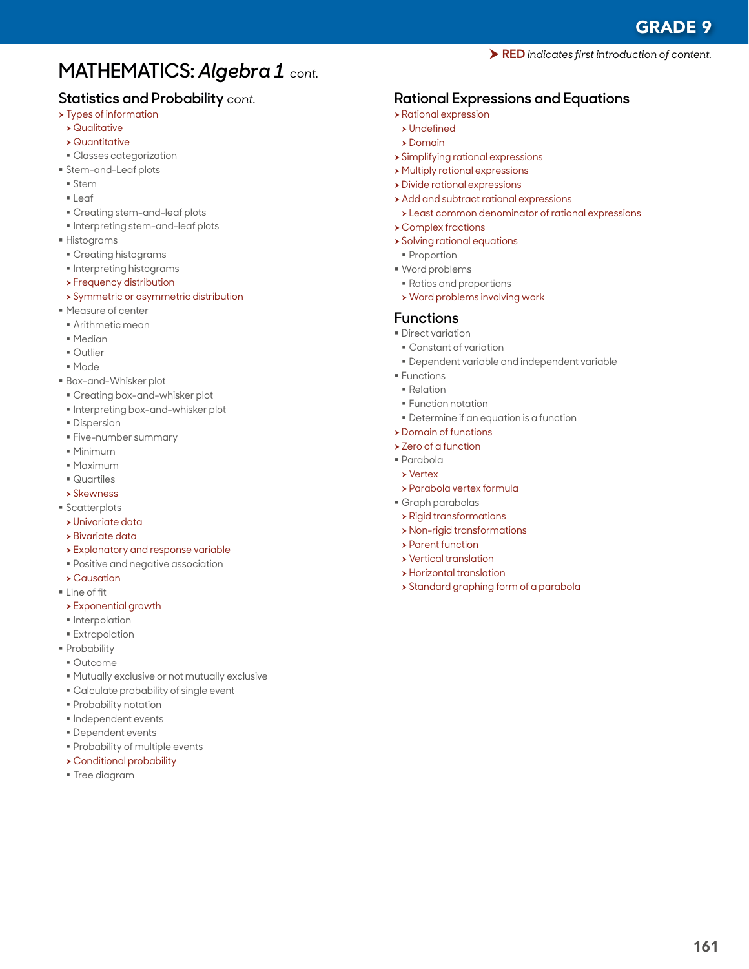RED *indicates first introduction of content.*

# **MATHEMATICS:** *Algebra 1 cont.*

# **Statistics and Probability** *cont.*

- $\rightarrow$  Types of information
- $\rightarrow$  Qualitative
- $\rightarrow$  Quantitative
- Classes categorization
- Stem-and-Leaf plots
- Stem
- Leaf
- Creating stem-and-leaf plots
- **Interpreting stem-and-leaf plots**
- Histograms
- Creating histograms
- **Interpreting histograms**
- $\rightarrow$  Frequency distribution
- **> Symmetric or asymmetric distribution**
- Measure of center
- Arithmetic mean
- Median
- Outlier
- Mode
- Box-and-Whisker plot
- Creating box-and-whisker plot
- **Interpreting box-and-whisker plot**
- **Dispersion**
- Five-number summary
- Minimum
- Maximum
- Quartiles
- $\rightarrow$  Skewness
- **Scatterplots**
- $\rightarrow$  Univariate data
- $\rightarrow$  Bivariate data
- $\rightarrow$  Explanatory and response variable
- Positive and negative association
- $\rightarrow$  Causation
- **Line of fit**
- **>** Exponential growth
- **Interpolation**
- **Extrapolation**
- Probability
- Outcome
- Mutually exclusive or not mutually exclusive
- Calculate probability of single event
- **Probability notation**
- $\blacksquare$  Independent events
- Dependent events
- **Probability of multiple events**
- $\rightarrow$  Conditional probability
- Tree diagram

**Rational Expressions and Equations**

- $\rightarrow$  Rational expression
- $\blacktriangleright$  Undefined
- $\rightarrow$  Domain
- $\rightarrow$  Simplifying rational expressions
- $\rightarrow$  Multiply rational expressions
- $\rightarrow$  Divide rational expressions
- **Add and subtract rational expressions**
- $\rightarrow$  Least common denominator of rational expressions
- $\rightarrow$  Complex fractions
- **>** Solving rational equations
- **Proportion**
- Word problems
- Ratios and proportions
- $\rightarrow$  Word problems involving work

### **Functions**

- **Direct variation**
- Constant of variation
- Dependent variable and independent variable
- **Functions**
- Relation
- **Function notation** 
	- Determine if an equation is a function
- **>** Domain of functions
- > Zero of a function
- Parabola
- **>** Vertex
- **>** Parabola vertex formula
- Graph parabolas
- $\rightarrow$  Rigid transformations
- $\rightarrow$  Non-rigid transformations
- $\rightarrow$  Parent function
- $\rightarrow$  Vertical translation
- $\rightarrow$  Horizontal translation
- **> Standard graphing form of a parabola**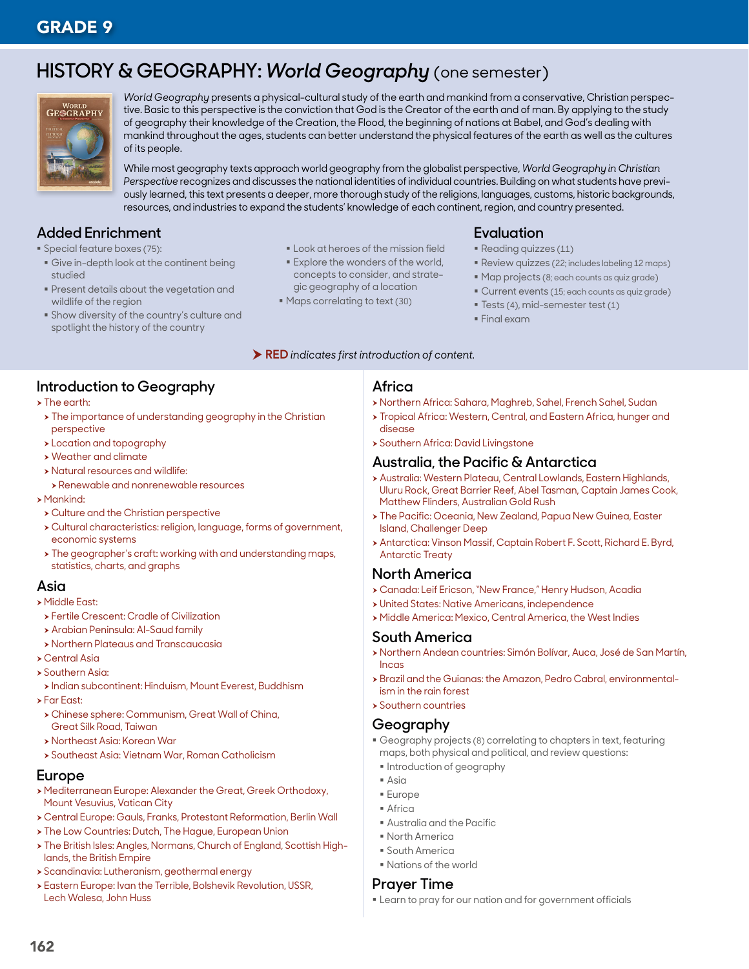# **HISTORY & GEOGRAPHY:** *World Geography* (one semester)



*World Geography* presents a physical-cultural study of the earth and mankind from a conservative, Christian perspective. Basic to this perspective is the conviction that God is the Creator of the earth and of man. By applying to the study of geography their knowledge of the Creation, the Flood, the beginning of nations at Babel, and God's dealing with mankind throughout the ages, students can better understand the physical features of the earth as well as the cultures of its people.

While most geography texts approach world geography from the globalist perspective, *World Geography in Christian Perspective* recognizes and discusses the national identities of individual countries. Building on what students have previously learned, this text presents a deeper, more thorough study of the religions, languages, customs, historic backgrounds, resources, and industries to expand the students' knowledge of each continent, region, and country presented.

# **Added Enrichment**

- **Special feature boxes (75):**
- Give in-depth look at the continent being studied
- Present details about the vegetation and wildlife of the region
- **Show diversity of the country's culture and** spotlight the history of the country

# **Introduction to Geography**

- $\triangleright$  The earth:
- $\rightarrow$  The importance of understanding geography in the Christian perspective
- **>** Location and topography
- $\rightarrow$  Weather and climate
- h Natural resources and wildlife:
- **> Renewable and nonrenewable resources**
- $\blacktriangleright$  Mankind:
- $\rightarrow$  Culture and the Christian perspective
- h Cultural characteristics: religion, language, forms of government, economic systems
- $\rightarrow$  The geographer's craft: working with and understanding maps, statistics, charts, and graphs

### **Asia**

- **> Middle East:**
- **> Fertile Crescent: Cradle of Civilization**
- **> Arabian Peninsula: Al-Saud family**
- **> Northern Plateaus and Transcaucasia**
- **Central Asia**
- Southern Asia:
- $\rightarrow$  Indian subcontinent: Hinduism, Mount Everest, Buddhism
- $\blacktriangleright$  Far East:
- h Chinese sphere: Communism, Great Wall of China, Great Silk Road, Taiwan
- **> Northeast Asia: Korean War**
- h Southeast Asia: Vietnam War, Roman Catholicism

## **Europe**

- h Mediterranean Europe: Alexander the Great, Greek Orthodoxy, Mount Vesuvius, Vatican City
- h Central Europe: Gauls, Franks, Protestant Reformation, Berlin Wall
- > The Low Countries: Dutch, The Hague, European Union
- > The British Isles: Angles, Normans, Church of England, Scottish Highlands, the British Empire
- **> Scandinavia: Lutheranism, geothermal energy**
- **> Eastern Europe: Ivan the Terrible, Bolshevik Revolution, USSR,** Lech Walesa, John Huss
- **Look at heroes of the mission field**
- **Explore the wonders of the world.** concepts to consider, and strategic geography of a location
- Maps correlating to text (30)

## **Evaluation**

- Reading quizzes (11)
- Review quizzes (22; includes labeling 12 maps)
- Map projects (8; each counts as quiz grade)
- Current events (15; each counts as quiz grade)
- **Tests (4), mid-semester test (1)**
- Final exam

# RED *indicates first introduction of content.*

### **Africa**

- h Northern Africa: Sahara, Maghreb, Sahel, French Sahel, Sudan
- **> Tropical Africa: Western, Central, and Eastern Africa, hunger and** disease
- **> Southern Africa: David Livingstone**

### **Australia, the Pacific & Antarctica**

- h Australia: Western Plateau, Central Lowlands, Eastern Highlands, Uluru Rock, Great Barrier Reef, Abel Tasman, Captain James Cook, Matthew Flinders, Australian Gold Rush
- $\rightarrow$  The Pacific: Oceania, New Zealand, Papua New Guinea, Easter Island, Challenger Deep
- h Antarctica: Vinson Massif, Captain Robert F. Scott, Richard E. Byrd, Antarctic Treaty

# **North America**

- h Canada: Leif Ericson, "New France," Henry Hudson, Acadia
- h United States: Native Americans, independence
	- h Middle America: Mexico, Central America, the West Indies

# **South America**

- h Northern Andean countries: Simón Bolívar, Auca, José de San Martín, Incas
- h Brazil and the Guianas: the Amazon, Pedro Cabral, environmentalism in the rain forest
- $\rightarrow$  Southern countries

### **Geography**

- Geography projects (8) correlating to chapters in text, featuring maps, both physical and political, and review questions:
- **Introduction of geography**
- Asia
- Europe
- Africa
- Australia and the Pacific
- North America
- South America Nations of the world

### **Prayer Time**

Learn to pray for our nation and for government officials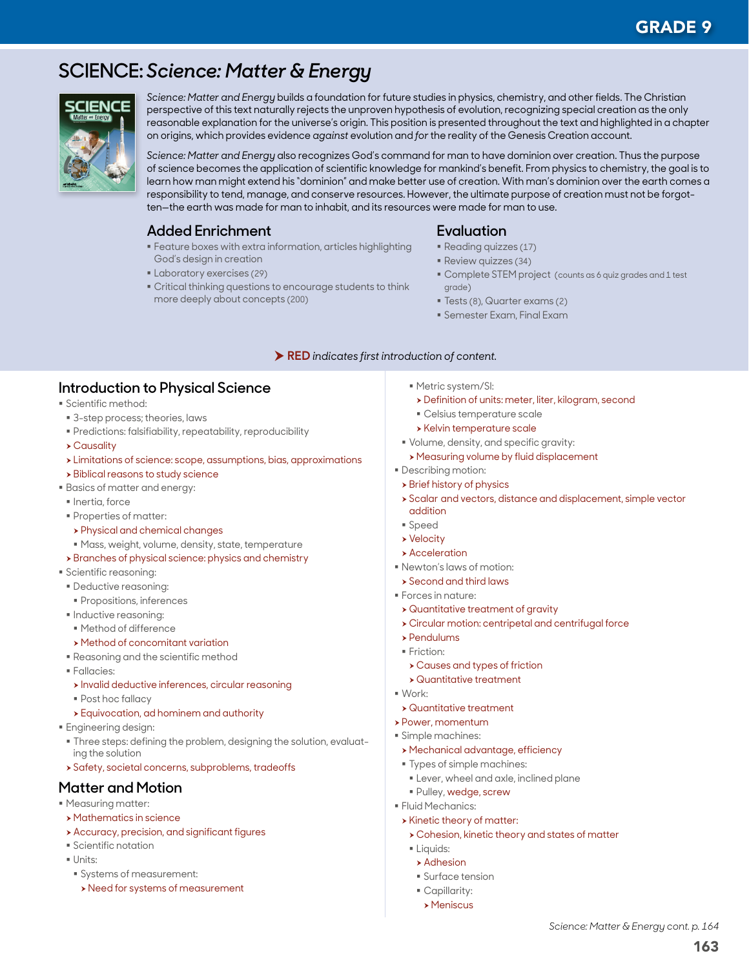# **SCIENCE:** *Science: Matter & Energy*



*Science: Matter and Energy* builds a foundation for future studies in physics, chemistry, and other fields. The Christian perspective of this text naturally rejects the unproven hypothesis of evolution, recognizing special creation as the only reasonable explanation for the universe's origin. This position is presented throughout the text and highlighted in a chapter on origins, which provides evidence *against* evolution and *for* the reality of the Genesis Creation account.

*Science: Matter and Energy* also recognizes God's command for man to have dominion over creation. Thus the purpose of science becomes the application of scientific knowledge for mankind's benefit. From physics to chemistry, the goal is to learn how man might extend his "dominion" and make better use of creation. With man's dominion over the earth comes a responsibility to tend, manage, and conserve resources. However, the ultimate purpose of creation must not be forgotten—the earth was made for man to inhabit, and its resources were made for man to use.

# **Added Enrichment**

- **Feature boxes with extra information, articles highlighting** God's design in creation
- **Laboratory exercises (29)**
- Critical thinking questions to encourage students to think more deeply about concepts (200)

## **Evaluation**

- Reading quizzes (17)
- Review quizzes (34)
- Complete STEM project (counts as 6 quiz grades and 1 test grade)
- Tests (8), Quarter exams (2)
- Semester Exam, Final Exam

### RED *indicates first introduction of content.*

## **Introduction to Physical Science**

- **Scientific method:**
- 3-step process; theories, laws
- Predictions: falsifiability, repeatability, reproducibility
- $\triangleright$  Causality
- h Limitations of science: scope, assumptions, bias, approximations
- $\rightarrow$  Biblical reasons to study science
- Basics of matter and energy:
- $\blacksquare$  Inertia, force
- Properties of matter:
- **> Physical and chemical changes**
- Mass, weight, volume, density, state, temperature
- > Branches of physical science: physics and chemistry
- Scientific reasoning:
- Deductive reasoning:
- **Propositions, inferences**
- $\blacksquare$  Inductive reasoning:
- Method of difference
- $\rightarrow$  Method of concomitant variation
- Reasoning and the scientific method
- Fallacies:
- $\rightarrow$  Invalid deductive inferences, circular reasoning
- Post hoc fallacy
- h Equivocation, ad hominem and authority
- **Engineering design:**
- **Three steps: defining the problem, designing the solution, evaluat**ing the solution
- $\rightarrow$  Safety, societal concerns, subproblems, tradeoffs

### **Matter and Motion**

- Measuring matter:
- $\rightarrow$  Mathematics in science
- $\rightarrow$  Accuracy, precision, and significant figures
- **Scientific notation**
- $\blacksquare$  Units:
- Systems of measurement:
- > Need for systems of measurement
- Metric system/SI:
- > Definition of units: meter, liter, kilogram, second
- Celsius temperature scale
- **> Kelvin temperature scale**
- Volume, density, and specific gravity:
- h Measuring volume by fluid displacement
- Describing motion:
- $\triangleright$  Brief history of physics
- h Scalar and vectors, distance and displacement, simple vector addition
- Speed
- $\blacktriangleright$  Velocity
- $\rightarrow$  Acceleration
- Newton's laws of motion:
- $\rightarrow$  Second and third laws
- Forces in nature:
- $\rightarrow$  Quantitative treatment of gravity
- **> Circular motion: centripetal and centrifugal force**
- $\blacktriangleright$  Pendulums
- Friction:
	- \* Causes and types of friction
	- $\rightarrow$  Quantitative treatment
- Work:
- h Quantitative treatment
- **> Power, momentum**
- Simple machines:
- h Mechanical advantage, efficiency
- Types of simple machines:
- Lever, wheel and axle, inclined plane
- Pulley, wedge, screw
- **Fluid Mechanics:**
- $\triangleright$  Kinetic theory of matter:
- $\rightarrow$  Cohesion, kinetic theory and states of matter
- **Liquids:**
- $\rightarrow$  Adhesion
- **Surface tension**
- Capillarity:
- $>$  Meniscus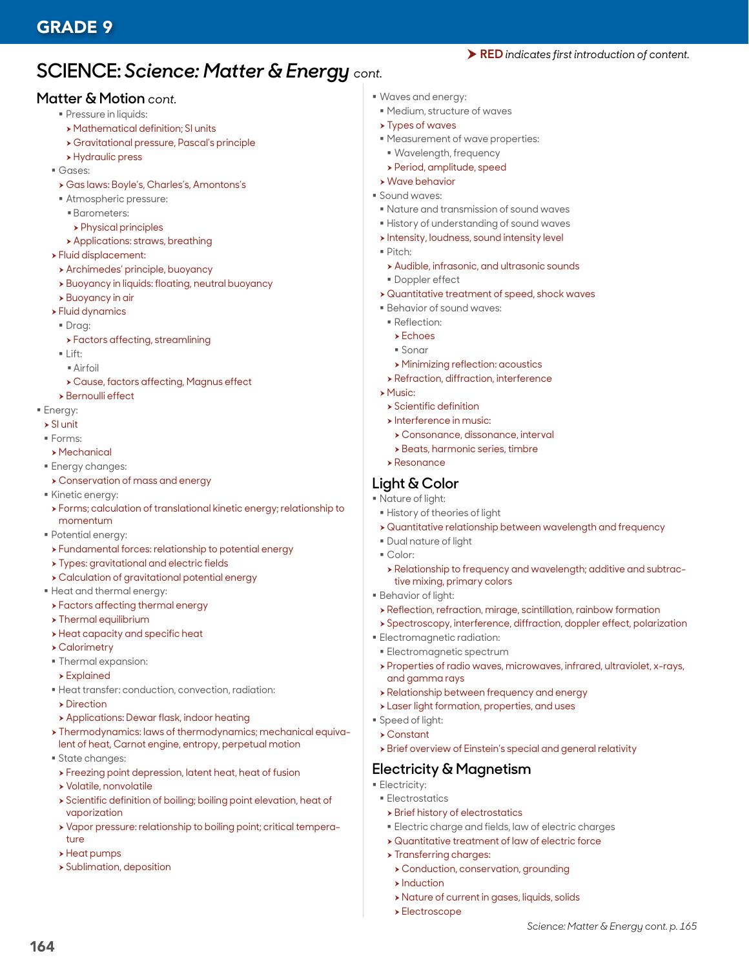# **SCIENCE:** *Science: Matter & Energy cont.*

### **Matter & Motion** *cont.*

- **Pressure in liquids:**
- **> Mathematical definition; SI units**
- h Gravitational pressure, Pascal's principle
- **> Hydraulic press**
- Gases:
- h Gas laws: Boyle's, Charles's, Amontons's
- Atmospheric pressure:
	- Barometers:
	- $\triangleright$  Physical principles
- **> Applications: straws, breathing**
- $\blacktriangleright$  Fluid displacement:
- **>** Archimedes' principle, buoyancy
- > Buoyancy in liquids: floating, neutral buoyancy
- **>** Buoyancy in air
- $\blacktriangleright$  Fluid dynamics
- Draa:
- **>** Factors affecting, streamlining
- $\blacksquare$  Lift:
	- Airfoil
- h Cause, factors affecting, Magnus effect
- **>** Bernoulli effect
- **Energy:**
- $\rightarrow$  SI unit
- Forms:
- $>$  Mechanical
- **Energy changes:**
- h Conservation of mass and energy
- Kinetic energy:
- h Forms; calculation of translational kinetic energy; relationship to momentum
- Potential energy:
	- **>** Fundamental forces: relationship to potential energy
- **> Types: gravitational and electric fields**
- h Calculation of gravitational potential energy
- Heat and thermal energy:
- **>** Factors affecting thermal energy
- $\triangleright$  Thermal equilibrium
- $\rightarrow$  Heat capacity and specific heat
- $\rightarrow$  Calorimetry
- Thermal expansion:
- $\rightarrow$  Explained
- Heat transfer: conduction, convection, radiation:
- $\triangleright$  Direction
- **Applications: Dewar flask, indoor heating**
- > Thermodynamics: laws of thermodynamics; mechanical equivalent of heat, Carnot engine, entropy, perpetual motion
- State changes:
- > Freezing point depression, latent heat, heat of fusion
- $\rightarrow$  Volatile, nonvolatile
- h Scientific definition of boiling; boiling point elevation, heat of vaporization
- h Vapor pressure: relationship to boiling point; critical temperature
- $\rightarrow$  Heat pumps

164

 $\rightarrow$  Sublimation, deposition

- Waves and energy:
- Medium, structure of waves
- $\rightarrow$  Types of waves
- Measurement of wave properties:
- Wavelength, frequency
- h Period, amplitude, speed
- $\rightarrow$  Wave behavior
- Sound waves:
- Nature and transmission of sound waves

RED *indicates first introduction of content.*

- History of understanding of sound waves
- $\triangleright$  Intensity, loudness, sound intensity level
- Pitch:
- **> Audible, infrasonic, and ultrasonic sounds**
- **Doppler effect**
- $\rightarrow$  Quantitative treatment of speed, shock waves
- Behavior of sound waves:
- Reflection:
- $\blacktriangleright$  Echoes
- Sonar
- **> Minimizing reflection: acoustics**
- $\rightarrow$  Refraction, diffraction, interference
- $\triangleright$  Music:
	- $\triangleright$  Scientific definition
	- $\triangleright$  Interference in music:
	- h Consonance, dissonance, interval
	- **> Beats, harmonic series, timbre**
- h Resonance

### **Light & Color**

- Nature of light:
- History of theories of light
- $\rightarrow$  Quantitative relationship between wavelength and frequency
- Dual nature of light
- Color:
- h Relationship to frequency and wavelength; additive and subtractive mixing, primary colors
- Behavior of light:
- $\rightarrow$  Reflection, refraction, mirage, scintillation, rainbow formation
- h Spectroscopy, interference, diffraction, doppler effect, polarization
- Electromagnetic radiation:
- **Electromagnetic spectrum**
- h Properties of radio waves, microwaves, infrared, ultraviolet, x-rays, and gamma rays

*Science: Matter & Energy cont. p. 165*

- $\rightarrow$  Relationship between frequency and energy
- **>Laser light formation, properties, and uses**
- Speed of light:
- $\rightarrow$  Constant

**Electricity: Electrostatics** 

> Brief overview of Einstein's special and general relativity

 Electric charge and fields, law of electric charges  $\rightarrow$  Quantitative treatment of law of electric force

**> Conduction, conservation, grounding** 

h Nature of current in gases, liquids, solids

# **Electricity & Magnetism**

 $\rightarrow$  Brief history of electrostatics

 $\blacktriangleright$  Transferring charges:

 $\blacktriangleright$  Induction

 $\blacktriangleright$  Electroscope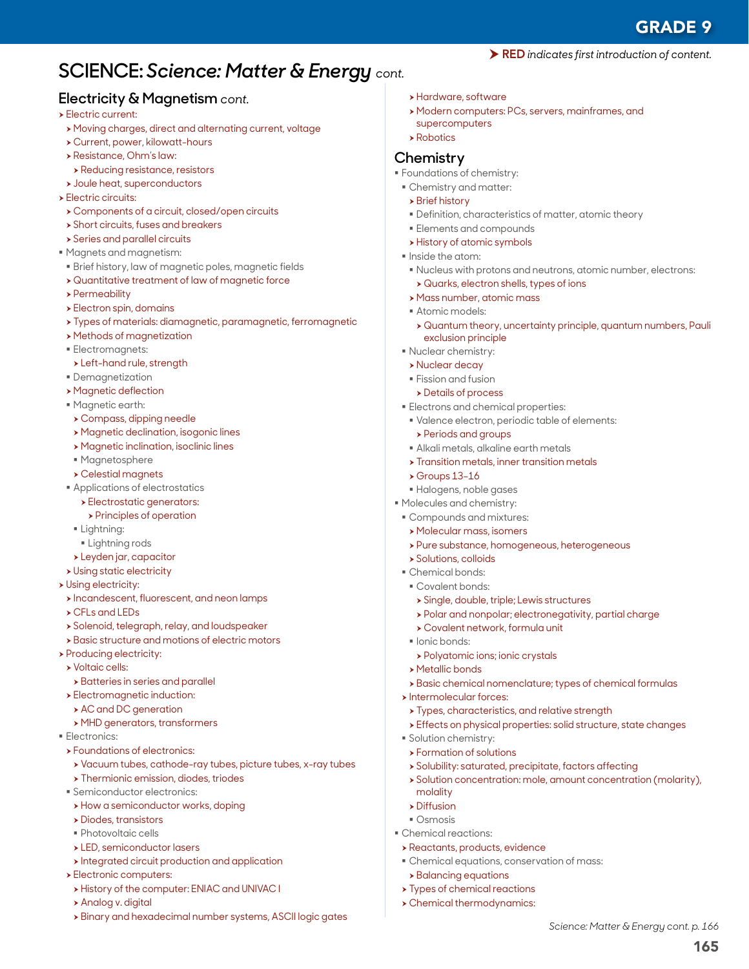165

*Science: Matter & Energy cont. p. 166*

# **SCIENCE:** *Science: Matter & Energy cont.*

## **Electricity & Magnetism** *cont.*

### $\blacktriangleright$  Electric current:

- h Moving charges, direct and alternating current, voltage
- h Current, power, kilowatt-hours
- **> Resistance, Ohm's law:**
- $\rightarrow$  Reducing resistance, resistors
- $\rightarrow$  Joule heat, superconductors
- $\blacktriangleright$  Electric circuits:
- $\rightarrow$  Components of a circuit, closed/open circuits
- $\rightarrow$  Short circuits, fuses and breakers
- $\rightarrow$  Series and parallel circuits
- Magnets and magnetism:
- Brief history, law of magnetic poles, magnetic fields
- $\rightarrow$  Quantitative treatment of law of magnetic force
- $\rightarrow$  Permeability
- $\rightarrow$  Electron spin, domains
- h Types of materials: diamagnetic, paramagnetic, ferromagnetic
- **> Methods of magnetization**
- Electromagnets:
- > Left-hand rule, strength
- Demagnetization
- **> Magnetic deflection**
- Magnetic earth:
- $\rightarrow$  Compass, dipping needle
- **> Magnetic declination, isogonic lines**
- **> Magnetic inclination, isoclinic lines**
- Magnetosphere
- $\rightarrow$  Celestial magnets
- **Applications of electrostatics** 
	- **> Electrostatic generators:**
	- > Principles of operation
- **Lightning:**
- **Elightning rods**
- h Leyden jar, capacitor
- **> Using static electricity**
- $\triangleright$  Using electricity:
- $\rightarrow$  Incandescent, fluorescent, and neon lamps
- $\triangleright$  CFLs and LEDs
- h Solenoid, telegraph, relay, and loudspeaker
- **> Basic structure and motions of electric motors**
- $\rightarrow$  Producing electricity:
- $\rightarrow$  Voltaic cells:
- $\rightarrow$  Batteries in series and parallel
- **>** Electromagnetic induction:
- $\triangleright$  AC and DC generation
- h MHD generators, transformers
- **Electronics:**
- **> Foundations of electronics:**
- h Vacuum tubes, cathode-ray tubes, picture tubes, x-ray tubes
- $\rightarrow$  Thermionic emission, diodes, triodes
- Semiconductor electronics:
- $\rightarrow$  How a semiconductor works, doping
- $\triangleright$  Diodes, transistors
- Photovoltaic cells
- **> LED, semiconductor lasers**
- $\rightarrow$  Integrated circuit production and application
- $\blacktriangleright$  Electronic computers:
- **> History of the computer: ENIAC and UNIVAC I**
- h Analog v. digital
- h Binary and hexadecimal number systems, ASCII logic gates
- **>** Hardware, software
- h Modern computers: PCs, servers, mainframes, and supercomputers
- $\triangleright$  Robotics

### **Chemistry**

- Foundations of chemistry:
- Chemistry and matter:
- $\triangleright$  Brief history
- Definition, characteristics of matter, atomic theory
- **Elements and compounds**
- $\rightarrow$  History of atomic symbols
- Inside the atom:
	- Nucleus with protons and neutrons, atomic number, electrons: h Quarks, electron shells, types of ions
	- **h** Mass number, atomic mass
	- Atomic models:
	- h Quantum theory, uncertainty principle, quantum numbers, Pauli exclusion principle
- Nuclear chemistry:
- **> Nuclear decay**
- **Fission and fusion**
- **>** Details of process
- Electrons and chemical properties:
- Valence electron, periodic table of elements:
- **> Periods and groups**
- Alkali metals, alkaline earth metals
- $\rightarrow$  Transition metals, inner transition metals
- $\rightarrow$  Groups 13–16
- Halogens, noble gases
- $\blacksquare$  Molecules and chemistry:
- Compounds and mixtures:
- $\rightarrow$  Molecular mass, isomers
- > Pure substance, homogeneous, heterogeneous
- $\rightarrow$  Solutions, colloids
- Chemical bonds:
- Covalent bonds:
	- $\triangleright$  Single, double, triple; Lewis structures

> Types, characteristics, and relative strength

> Solubility: saturated, precipitate, factors affecting

> Polar and nonpolar; electronegativity, partial charge

 $\rightarrow$  Basic chemical nomenclature; types of chemical formulas

h Effects on physical properties: solid structure, state changes

h Solution concentration: mole, amount concentration (molarity),

h Covalent network, formula unit

**> Polyatomic ions; ionic crystals** 

 $\blacksquare$  Ionic bonds:

 $\triangleright$  Metallic bonds

**h** Intermolecular forces:

**Solution chemistry:**  $\rightarrow$  Formation of solutions

 $\blacktriangleright$  Reactants, products, evidence

h Balancing equations > Types of chemical reactions **>** Chemical thermodynamics:

Chemical equations, conservation of mass:

molality  $\triangleright$  Diffusion Osmosis Chemical reactions: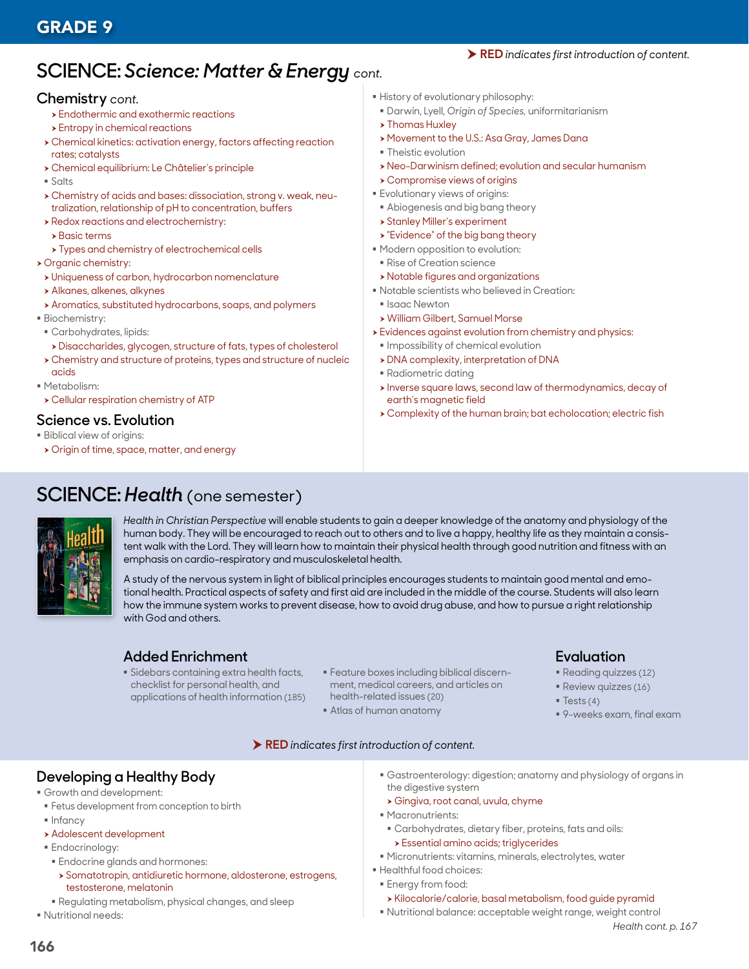# **SCIENCE:** *Science: Matter & Energy cont.*

### **Chemistry** *cont.*

- $\blacktriangleright$  Endothermic and exothermic reactions
- $\rightarrow$  Entropy in chemical reactions
- h Chemical kinetics: activation energy, factors affecting reaction rates; catalysts
- h Chemical equilibrium: Le Châtelier's principle
- Salts
- h Chemistry of acids and bases: dissociation, strong v. weak, neutralization, relationship of pH to concentration, buffers
- $\rightarrow$  Redox reactions and electrochemistry:
- $\rightarrow$  Basic terms
- > Types and chemistry of electrochemical cells
- > Organic chemistry:
- > Uniqueness of carbon, hydrocarbon nomenclature
- h Alkanes, alkenes, alkynes
- h Aromatics, substituted hydrocarbons, soaps, and polymers
- Biochemistry:
- Carbohydrates, lipids:
- h Disaccharides, glycogen, structure of fats, types of cholesterol
- h Chemistry and structure of proteins, types and structure of nucleic acids
- Metabolism:
- h Cellular respiration chemistry of ATP

### **Science vs. Evolution**

- Biblical view of origins:
- > Origin of time, space, matter, and energy
- History of evolutionary philosophy:
- Darwin, Lyell, *Origin of Species,* uniformitarianism
- > Thomas Huxley
- ▶ Movement to the U.S.: Asa Gray, James Dana
- **Theistic evolution**
- h Neo-Darwinism defined; evolution and secular humanism
- $\rightarrow$  Compromise views of origins
- Evolutionary views of origins:
- Abiogenesis and big bang theory
- **> Stanley Miller's experiment**
- $\triangleright$  "Evidence" of the big bang theory
- Modern opposition to evolution:
- Rise of Creation science
- h Notable figures and organizations
- Notable scientists who believed in Creation:
- **Isaac Newton**
- h William Gilbert, Samuel Morse
- $\rightarrow$  Evidences against evolution from chemistry and physics:
- **Impossibility of chemical evolution**
- h DNA complexity, interpretation of DNA
- Radiometric dating
- $\rightarrow$  Inverse square laws, second law of thermodynamics, decay of earth's magnetic field
- $\rightarrow$  Complexity of the human brain; bat echolocation; electric fish

# **SCIENCE:** *Health* (one semester)



*Health in Christian Perspective* will enable students to gain a deeper knowledge of the anatomy and physiology of the human body. They will be encouraged to reach out to others and to live a happy, healthy life as they maintain a consistent walk with the Lord. They will learn how to maintain their physical health through good nutrition and fitness with an emphasis on cardio-respiratory and musculoskeletal health.

A study of the nervous system in light of biblical principles encourages students to maintain good mental and emotional health. Practical aspects of safety and first aid are included in the middle of the course. Students will also learn how the immune system works to prevent disease, how to avoid drug abuse, and how to pursue a right relationship with God and others.

# **Added Enrichment**

- Sidebars containing extra health facts, checklist for personal health, and applications of health information (185)
- Feature boxes including biblical discernment, medical careers, and articles on health-related issues (20)
- Atlas of human anatomy

### RED *indicates first introduction of content.*

## **Evaluation**

- Reading quizzes (12)
- Review quizzes (16)
- $\blacksquare$  Tests (4)
- 9-weeks exam, final exam

- **Developing a Healthy Body**
- Growth and development:
- Fetus development from conception to birth
- $\blacksquare$  Infancy
- h Adolescent development
- Endocrinology:
- Endocrine glands and hormones:
	- h Somatotropin, antidiuretic hormone, aldosterone, estrogens, testosterone, melatonin
- Regulating metabolism, physical changes, and sleep
- Nutritional needs:
- Gastroenterology: digestion; anatomy and physiology of organs in the digestive system
- h Gingiva, root canal, uvula, chyme
- **Macronutrients:**
- Carbohydrates, dietary fiber, proteins, fats and oils: **>** Essential amino acids; triglycerides
- Micronutrients: vitamins, minerals, electrolytes, water
- Healthful food choices:
- **Energy from food:**
- h Kilocalorie/calorie, basal metabolism, food guide pyramid
- Nutritional balance: acceptable weight range, weight control

RED *indicates first introduction of content.*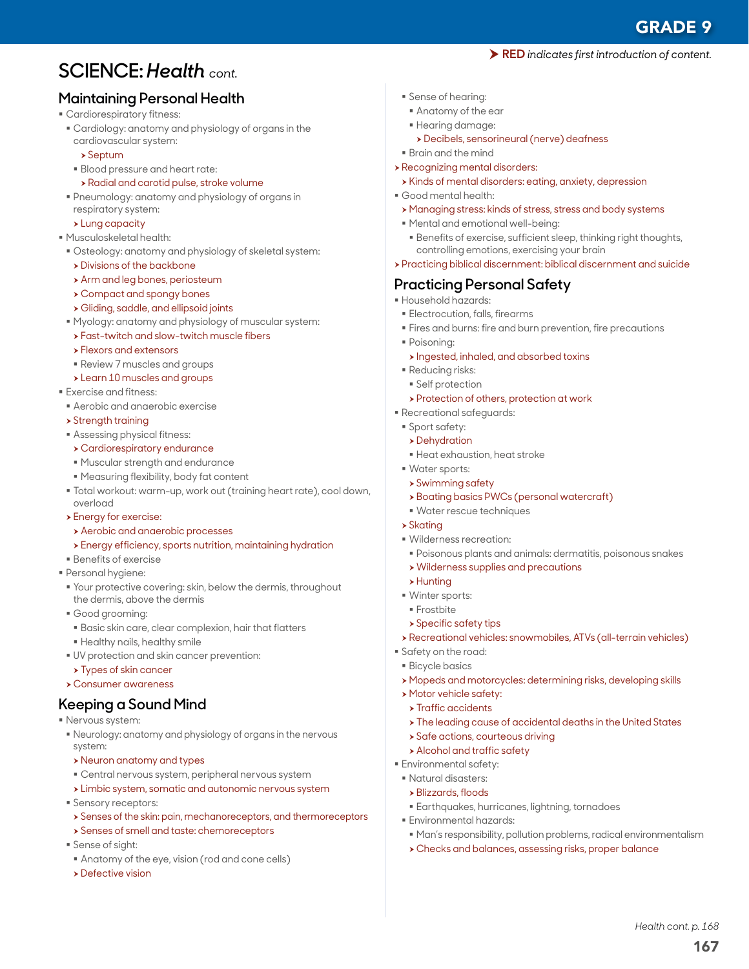GRADE 9

RED *indicates first introduction of content.*

# **SCIENCE:** *Health cont.*

## **Maintaining Personal Health**

- Cardiorespiratory fitness:
- Cardiology: anatomy and physiology of organs in the cardiovascular system:
	- $\rightarrow$  Septum
- Blood pressure and heart rate:
- **> Radial and carotid pulse, stroke volume**
- Pneumology: anatomy and physiology of organs in respiratory system:
- $\blacktriangleright$  Lung capacity
- Musculoskeletal health:
	- Osteology: anatomy and physiology of skeletal system:  $\rightarrow$  Divisions of the backbone
	- $\rightarrow$  Arm and leg bones, periosteum
	- **Compact and spongy bones**
	- h Gliding, saddle, and ellipsoid joints
- Myology: anatomy and physiology of muscular system:
- **>Fast-twitch and slow-twitch muscle fibers**
- $\rightarrow$  Flexors and extensors
- Review 7 muscles and groups
- **>Learn 10 muscles and groups**
- **Exercise and fitness:**
- Aerobic and anaerobic exercise
- $\rightarrow$  Strength training
- Assessing physical fitness:
- **> Cardiorespiratory endurance**
- Muscular strength and endurance
- Measuring flexibility, body fat content
- Total workout: warm-up, work out (training heart rate), cool down, overload
- $\rightarrow$  Energy for exercise:
- **Aerobic and anaerobic processes**
- $\rightarrow$  Energy efficiency, sports nutrition, maintaining hydration
- Benefits of exercise
- Personal hygiene:
- Your protective covering: skin, below the dermis, throughout the dermis, above the dermis
- Good grooming:
- Basic skin care, clear complexion, hair that flatters
- Healthy nails, healthy smile
- UV protection and skin cancer prevention:
- **> Types of skin cancer**
- h Consumer awareness

### **Keeping a Sound Mind**

- Nervous system:
- Neurology: anatomy and physiology of organs in the nervous system:
- **>** Neuron anatomy and types
- Central nervous system, peripheral nervous system
- h Limbic system, somatic and autonomic nervous system
- **Sensory receptors:**
- **>** Senses of the skin: pain, mechanoreceptors, and thermoreceptors **> Senses of smell and taste: chemoreceptors**
- Sense of sight:
- Anatomy of the eye, vision (rod and cone cells)
- $\rightarrow$  Defective vision
- Sense of hearing:
- Anatomy of the ear
- Hearing damage:
- h Decibels, sensorineural (nerve) deafness
- Brain and the mind
- $\rightarrow$  Recognizing mental disorders:
- h Kinds of mental disorders: eating, anxiety, depression
- Good mental health:
- h Managing stress: kinds of stress, stress and body systems
- Mental and emotional well-being:
- Benefits of exercise, sufficient sleep, thinking right thoughts, controlling emotions, exercising your brain
- h Practicing biblical discernment: biblical discernment and suicide

### **Practicing Personal Safety**

- Household hazards:
- **Electrocution, falls, firearms**
- Fires and burns: fire and burn prevention, fire precautions
- Poisoning:
- **h** Ingested, inhaled, and absorbed toxins
- Reducing risks:
- Self protection
- **>** Protection of others, protection at work
- Recreational safeguards:
- Sport safety:
- $\rightarrow$  Dehydration
	- Heat exhaustion, heat stroke
- Water sports:
- $\rightarrow$  Swimming safety
- **> Boating basics PWCs (personal watercraft)**
- Water rescue techniques
- $\blacktriangleright$  Skating
- Wilderness recreation:
- Poisonous plants and animals: dermatitis, poisonous snakes
- $\rightarrow$  Wilderness supplies and precautions
- $\blacktriangleright$  Hunting
- Winter sports:
- **Frostbite**
- $\rightarrow$  Specific safety tips
- h Recreational vehicles: snowmobiles, ATVs (all-terrain vehicles)
- Safety on the road:
- Bicycle basics
- h Mopeds and motorcycles: determining risks, developing skills
- **> Motor vehicle safety:**
- $\triangleright$  Traffic accidents
- $\rightarrow$  The leading cause of accidental deaths in the United States

Man's responsibility, pollution problems, radical environmentalism

h Checks and balances, assessing risks, proper balance

Earthquakes, hurricanes, lightning, tornadoes

167

*Health cont. p. 168*

- **> Safe actions, courteous driving**
- > Alcohol and traffic safety
- Environmental safety:
- Natural disasters:
- **> Blizzards, floods**

Environmental hazards: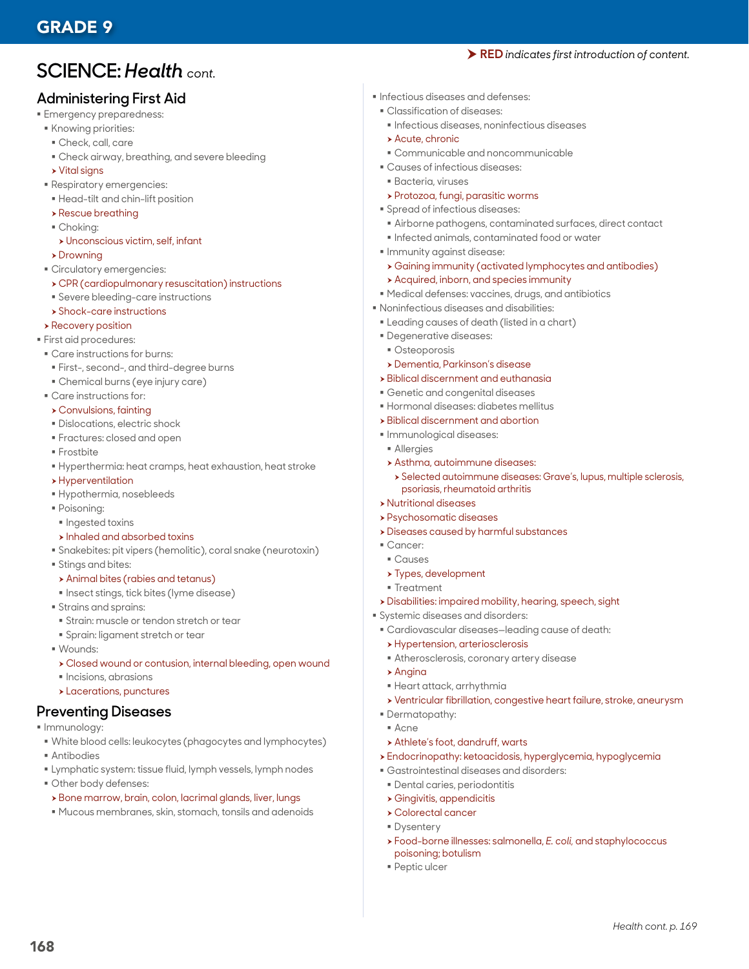# **SCIENCE:** *Health cont.*

### **Administering First Aid**

- **Emergency preparedness:**
- Knowing priorities:
	- Check, call, care
- Check airway, breathing, and severe bleeding
- $\triangleright$  Vital sians
- Respiratory emergencies:
- Head-tilt and chin-lift position
- $\rightarrow$  Rescue breathing
- Choking:
- > Unconscious victim, self, infant

### $\rightarrow$  Drowning

- Circulatory emergencies:
- h CPR (cardiopulmonary resuscitation) instructions
- Severe bleeding-care instructions
- $\rightarrow$  Shock-care instructions

### $\rightarrow$  Recovery position

- First aid procedures:
- Care instructions for burns:
	- First-, second-, and third-degree burns
- Chemical burns (eye injury care)
- Care instructions for:
- $\rightarrow$  Convulsions, fainting
- Dislocations, electric shock
- Fractures: closed and open
- **Frostbite**
- Hyperthermia: heat cramps, heat exhaustion, heat stroke
- $\rightarrow$  Hyperventilation
- Hypothermia, nosebleeds
- Poisoning:
- **Ingested toxins**
- $\rightarrow$  Inhaled and absorbed toxins
- Snakebites: pit vipers (hemolitic), coral snake (neurotoxin)
- **Stings and bites:**
- > Animal bites (rabies and tetanus)
- **Insect stings, tick bites (lyme disease)**
- Strains and sprains:
- Strain: muscle or tendon stretch or tear
- Sprain: ligament stretch or tear
- Wounds:
- h Closed wound or contusion, internal bleeding, open wound
- $\blacksquare$  Incisions, abrasions
- $\blacktriangleright$  Lacerations, punctures

## **Preventing Diseases**

- **Immunology:**
- White blood cells: leukocytes (phagocytes and lymphocytes)
- Antibodies

168

- Lymphatic system: tissue fluid, lymph vessels, lymph nodes
- Other body defenses:
- $\rightarrow$  Bone marrow, brain, colon, lacrimal glands, liver, lungs
- Mucous membranes, skin, stomach, tonsils and adenoids
- $\blacksquare$  Infectious diseases and defenses:
- Classification of diseases:
- Infectious diseases, noninfectious diseases
- $\rightarrow$  Acute, chronic
- Communicable and noncommunicable
- Causes of infectious diseases:
- Bacteria, viruses
- h Protozoa, fungi, parasitic worms
- Spread of infectious diseases:
- Airborne pathogens, contaminated surfaces, direct contact
- $\blacksquare$  Infected animals, contaminated food or water
- **Immunity against disease:**
- h Gaining immunity (activated lymphocytes and antibodies)
- $\rightarrow$  Acquired, inborn, and species immunity
- Medical defenses: vaccines, drugs, and antibiotics
- Noninfectious diseases and disabilities:
- Leading causes of death (listed in a chart)
- Degenerative diseases:
- Osteoporosis
- h Dementia, Parkinson's disease
- **> Biblical discernment and euthanasia**
- Genetic and congenital diseases
- Hormonal diseases: diabetes mellitus
- $\rightarrow$  Biblical discernment and abortion
- $\blacksquare$  Immunological diseases:
- Allergies
- $\rightarrow$  Asthma, autoimmune diseases:
- h Selected autoimmune diseases: Grave's, lupus, multiple sclerosis, psoriasis, rheumatoid arthritis
- **>** Nutritional diseases
- **>** Psychosomatic diseases
- **>** Diseases caused by harmful substances
- Cancer:
- Causes
- **> Types, development**
- **Treatment**
- h Disabilities: impaired mobility, hearing, speech, sight
- Systemic diseases and disorders:
- Cardiovascular diseases—leading cause of death:
- **> Hypertension, arteriosclerosis**
- Atherosclerosis, coronary artery disease
- $\rightarrow$  Angina
- Heart attack, arrhythmia
- h Ventricular fibrillation, congestive heart failure, stroke, aneurysm

<sup>h</sup> Food-borne illnesses: salmonella, *E. coli,* and staphylococcus

*Health cont. p. 169*

- Dermatopathy:
- Acne
- > Athlete's foot, dandruff, warts h Endocrinopathy: ketoacidosis, hyperglycemia, hypoglycemia

 Dental caries, periodontitis  $\rightarrow$  Gingivitis, appendicitis h Colorectal cancer **Dysentery** 

poisoning; botulism

Peptic ulcer

Gastrointestinal diseases and disorders: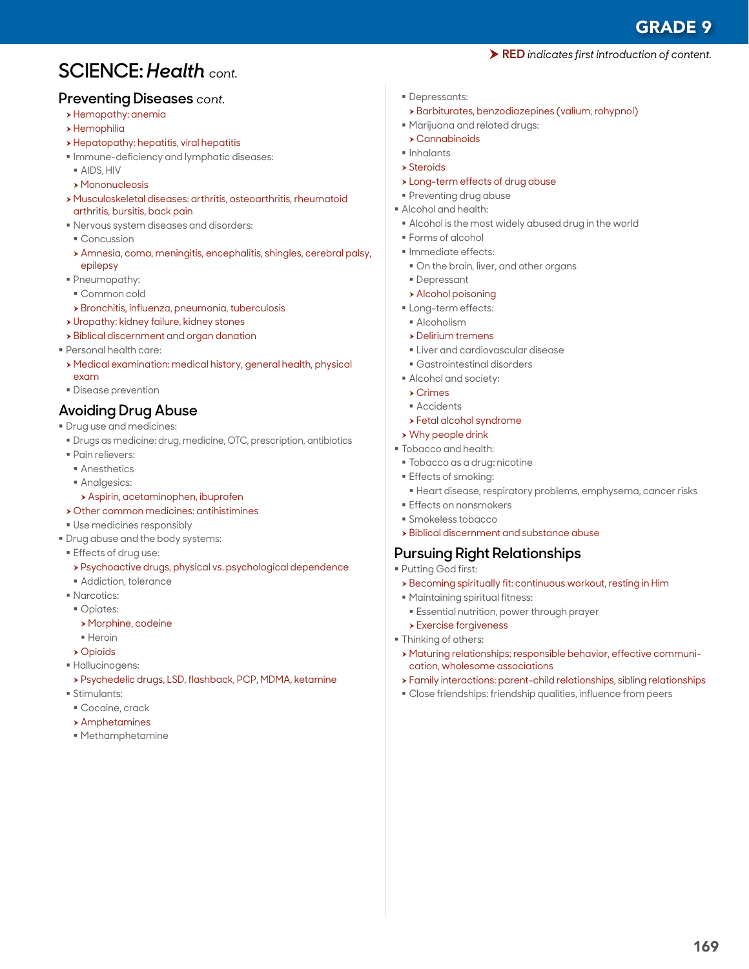# GRADE 9

### RED *indicates first introduction of content.*

# **SCIENCE:** *Health cont.*

### **Preventing Diseases** *cont.*

- > Hemopathy: anemia
- $\rightarrow$  Hemophilia
- $\rightarrow$  Hepatopathy: hepatitis, viral hepatitis
- Immune-deficiency and lymphatic diseases:
- AIDS, HIV
- $\rightarrow$  Mononucleosis
- h Musculoskeletal diseases: arthritis, osteoarthritis, rheumatoid arthritis, bursitis, back pain
- Nervous system diseases and disorders:
- Concussion
- h Amnesia, coma, meningitis, encephalitis, shingles, cerebral palsy, epilepsy
- Pneumopathy:
- Common cold
- $\rightarrow$  Bronchitis, influenza, pneumonia, tuberculosis
- **>** Uropathy: kidney failure, kidney stones
- **>** Biblical discernment and organ donation
- Personal health care:
- h Medical examination: medical history, general health, physical exam
- Disease prevention

## **Avoiding Drug Abuse**

- **Drug use and medicines:**
- Drugs as medicine: drug, medicine, OTC, prescription, antibiotics
- Pain relievers:
- Anesthetics
- **Analgesics:**
- h Aspirin, acetaminophen, ibuprofen
- $\rightarrow$  Other common medicines: antihistimines
- Use medicines responsibly
- **Drug abuse and the body systems:**
- Effects of drug use:
	- h Psychoactive drugs, physical vs. psychological dependence
- **Addiction, tolerance**
- **Narcotics:**
- Opiates:
- $\rightarrow$  Morphine, codeine
- **Heroin**
- $\rightarrow$  Opioids
- Hallucinogens:
	- h Psychedelic drugs, LSD, flashback, PCP, MDMA, ketamine
- Stimulants:
- Cocaine, crack
- $\rightarrow$  Amphetamines
- Methamphetamine
- **Depressants:** 
	- h Barbiturates, benzodiazepines (valium, rohypnol)
- Marijuana and related drugs:
- $\rightarrow$  Cannabinoids
- $\blacksquare$ Inhalants
- $\blacktriangleright$  Steroids
- > Long-term effects of drug abuse
- **Preventing drug abuse**
- Alcohol and health:
- Alcohol is the most widely abused drug in the world
- Forms of alcohol
- Immediate effects:
- $\blacksquare$  On the brain, liver, and other organs
- **Depressant**
- $\triangleright$  Alcohol poisoning
- **Long-term effects:**
- **Alcoholism**
- $\rightarrow$  Delirium tremens
- **Liver and cardiovascular disease**
- Gastrointestinal disorders
- Alcohol and society:
- $\triangleright$  Crimes
- Accidents
- $\rightarrow$  Fetal alcohol syndrome

### $\triangleright$  Why people drink

- Tobacco and health:
- Tobacco as a drug: nicotine
- **Effects of smoking:**
- Heart disease, respiratory problems, emphysema, cancer risks
- **Effects on nonsmokers**
- Smokeless tobacco
- **> Biblical discernment and substance abuse**

## **Pursuing Right Relationships**

- Putting God first:
	- h Becoming spiritually fit: continuous workout, resting in Him
	- Maintaining spiritual fitness:
	- **Essential nutrition, power through prayer**
	- $\blacktriangleright$  Exercise forgiveness
- **Thinking of others:**
- h Maturing relationships: responsible behavior, effective communication, wholesome associations
- h Family interactions: parent-child relationships, sibling relationships
- Close friendships: friendship qualities, influence from peers